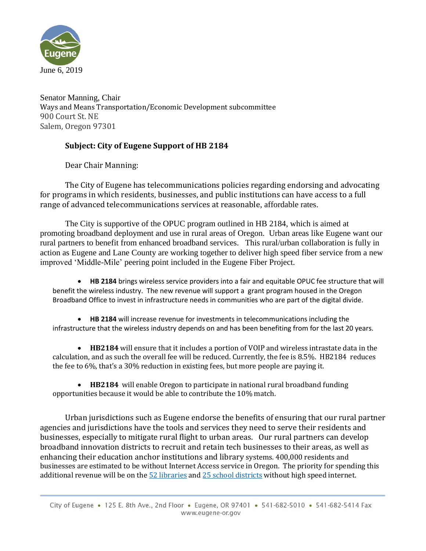

Senator Manning, Chair Ways and Means Transportation/Economic Development subcommittee 900 Court St. NE Salem, Oregon 97301

## **Subject: City of Eugene Support of HB 2184**

Dear Chair Manning:

The City of Eugene has telecommunications policies regarding endorsing and advocating for programs in which residents, businesses, and public institutions can have access to a full range of advanced telecommunications services at reasonable, affordable rates.

The City is supportive of the OPUC program outlined in HB 2184, which is aimed at promoting broadband deployment and use in rural areas of Oregon. Urban areas like Eugene want our rural partners to benefit from enhanced broadband services. This rural/urban collaboration is fully in action as Eugene and Lane County are working together to deliver high speed fiber service from a new improved 'Middle-Mile' peering point included in the Eugene Fiber Project.

• **HB 2184** brings wireless service providers into a fair and equitable OPUC fee structure that will benefit the wireless industry. The new revenue will support a grant program housed in the Oregon Broadband Office to invest in infrastructure needs in communities who are part of the digital divide.

• **HB 2184** will increase revenue for investments in telecommunications including the infrastructure that the wireless industry depends on and has been benefiting from for the last 20 years.

• **HB2184** will ensure that it includes a portion of VOIP and wireless intrastate data in the calculation, and as such the overall fee will be reduced. Currently, the fee is 8.5%. HB2184 reduces the fee to 6%, that's a 30% reduction in existing fees, but more people are paying it.

• **HB2184** will enable Oregon to participate in national rural broadband funding opportunities because it would be able to contribute the 10% match.

Urban jurisdictions such as Eugene endorse the benefits of ensuring that our rural partner agencies and jurisdictions have the tools and services they need to serve their residents and businesses, especially to mitigate rural flight to urban areas. Our rural partners can develop broadband innovation districts to recruit and retain tech businesses to their areas, as well as enhancing their education anchor institutions and library systems. 400,000 residents and businesses are estimated to be without Internet Access service in Oregon. The priority for spending this additional revenue will be on th[e 52 libraries](https://olis.leg.state.or.us/liz/2019R1/Downloads/CommitteeMeetingDocument/184014) and [25 school districts](https://olis.leg.state.or.us/liz/2019R1/Downloads/CommitteeMeetingDocument/183989) without high speed internet.